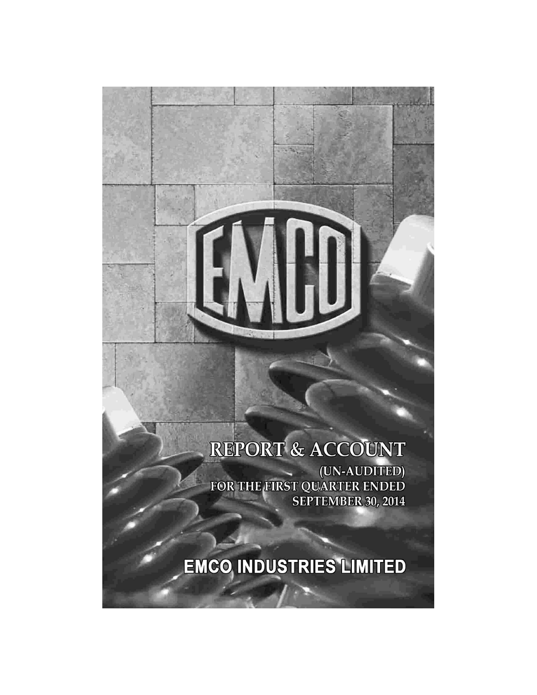# REPORT & ACCOUNT

(UN-AUDITED)<br>FOR THE FIRST QUARTER ENDED **SEPTEMBER 30, 2014** 

**EMCO INDUSTRIES LIMITED**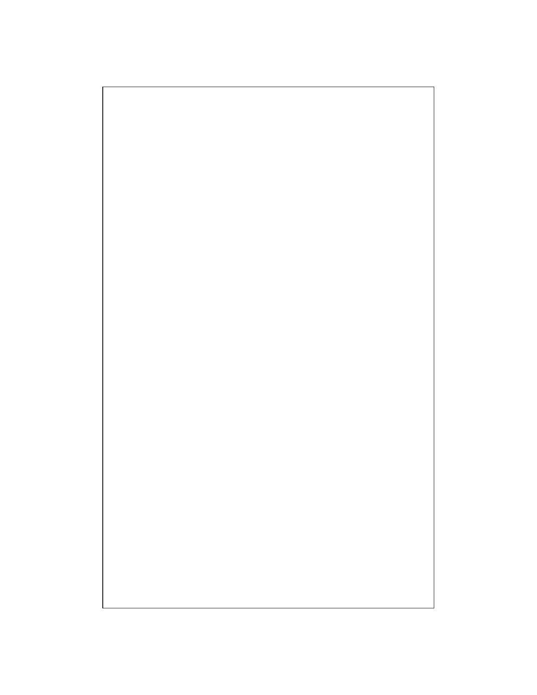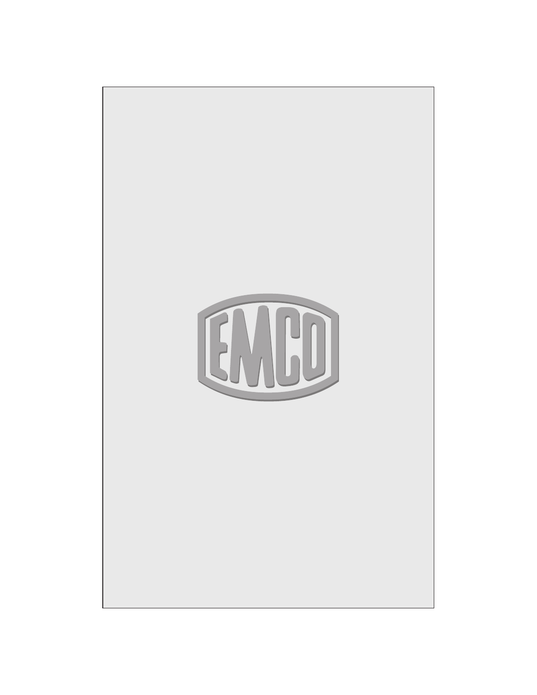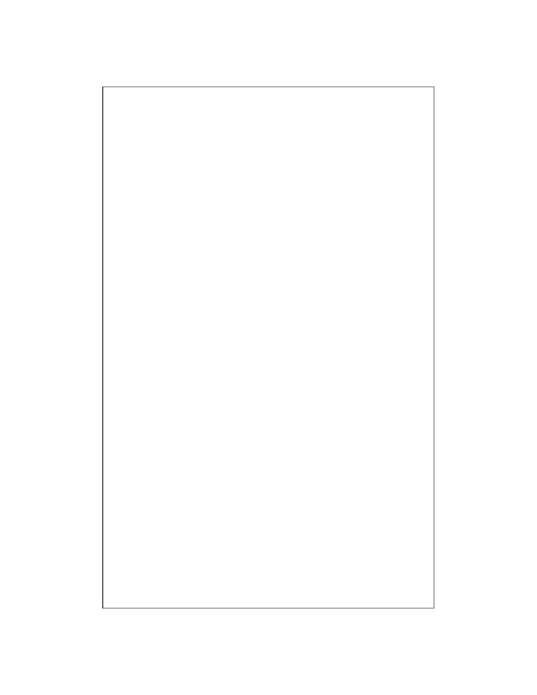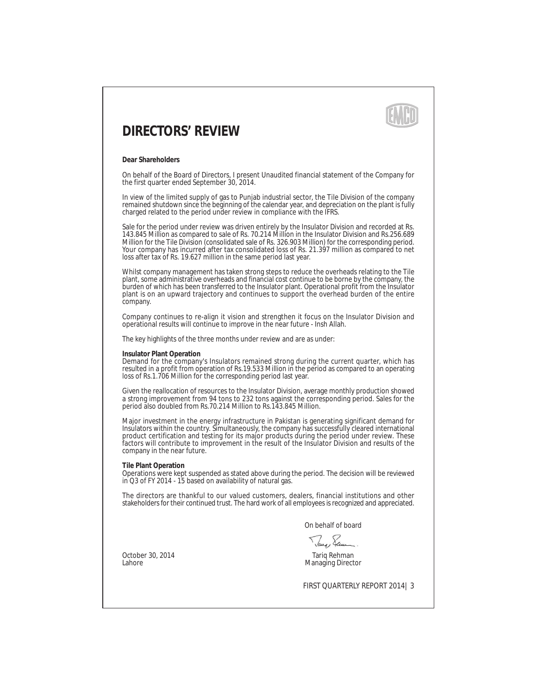

#### **DIRECTORS' REVIEW**

**Dear Shareholders**

On behalf of the Board of Directors, I present Unaudited financial statement of the Company for the first quarter ended September 30, 2014.

In view of the limited supply of gas to Punjab industrial sector, the Tile Division of the company remained shutdown since the beginning of the calendar year, and depreciation on the plant is fully charged related to the period under review in compliance with the IFRS.

Sale for the period under review was driven entirely by the Insulator Division and recorded at Rs. 143.845 Million as compared to sale of Rs. 70.214 Million in the Insulator Division and Rs.256.689 Million for the Tile Division (consolidated sale of Rs. 326.903 Million) for the corresponding period. Your company has incurred after tax consolidated loss of Rs. 21.397 million as compared to net loss after tax of Rs. 19.627 million in the same period last year.

Whilst company management has taken strong steps to reduce the overheads relating to the Tile plant, some administrative overheads and financial cost continue to be borne by the company, the burden of which has been transferred to the Insulator plant. Operational profit from the Insulator plant is on an upward trajectory and continues to support the overhead burden of the entire company.

Company continues to re-align it vision and strengthen it focus on the Insulator Division and operational results will continue to improve in the near future - Insh Allah. 

The key highlights of the three months under review and are as under:

**Insulator Plant Operation** 

Demand for the company's Insulators remained strong during the current quarter, which has resulted in a profit from operation of Rs.19.533 Million in the period as compared to an operating loss of Rs.1.706 Million for the corresponding period last year.

Given the reallocation of resources to the Insulator Division, average monthly production showed a strong improvement from 94 tons to 232 tons against the corresponding period. Sales for the period also doubled from Rs.70.214 Million to Rs.143.845 Million.

Major investment in the energy infrastructure in Pakistan is generating significant demand for Insulators within the country. Simultaneously, the company has successfully cleared international product certification and testing for its major products during the period under review. These factors will contribute to improvement in the result of the Insulator Division and results of the company in the near future.

**Tile Plant Operation**

Operations were kept suspended as stated above during the period. The decision will be reviewed in Q3 of FY 2014 - 15 based on availability of natural gas.

The directors are thankful to our valued customers, dealers, financial institutions and other stakeholders for their continued trust. The hard work of all employees is recognized and appreciated.

On behalf of board

October 30, 2014 Tariq Rehman Managing Director

FIRST QUARTERLY REPORT 2014| 3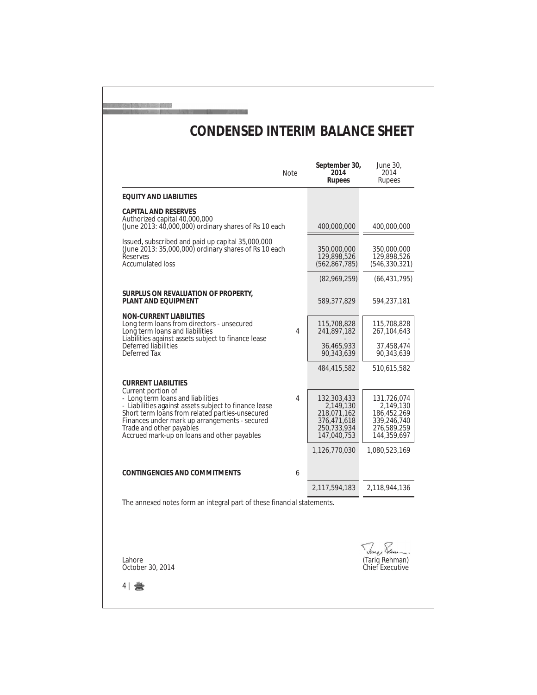|                                                                                                                                                                                                                                                                                                                               | <b>Note</b> | September 30,<br>2014<br>Rupees                                                      | June 30,<br>2014<br>Rupees                                                           |
|-------------------------------------------------------------------------------------------------------------------------------------------------------------------------------------------------------------------------------------------------------------------------------------------------------------------------------|-------------|--------------------------------------------------------------------------------------|--------------------------------------------------------------------------------------|
| <b>EQUITY AND LIABILITIES</b>                                                                                                                                                                                                                                                                                                 |             |                                                                                      |                                                                                      |
| <b>CAPITAL AND RESERVES</b><br>Authorized capital 40,000,000<br>(June 2013: $40,000,000$ ) ordinary shares of Rs 10 each                                                                                                                                                                                                      |             | 400,000,000                                                                          | 400,000,000                                                                          |
| Issued, subscribed and paid up capital 35,000,000<br>(June 2013: 35,000,000) ordinary shares of Rs 10 each<br><b>Reserves</b><br><b>Accumulated loss</b>                                                                                                                                                                      |             | 350,000,000<br>129,898,526<br>(562, 867, 785)                                        | 350,000,000<br>129,898,526<br>(546, 330, 321)                                        |
|                                                                                                                                                                                                                                                                                                                               |             | (82,969,259)                                                                         | (66, 431, 795)                                                                       |
| SURPLUS ON REVALUATION OF PROPERTY,<br>PLANT AND EQUIPMENT                                                                                                                                                                                                                                                                    |             | 589,377,829                                                                          | 594,237,181                                                                          |
| <b>NON-CURRENT LIABILITIES</b><br>Long term loans from directors - unsecured<br>Long term loans and liabilities                                                                                                                                                                                                               | 4           | 115,708,828<br>241,897,182                                                           | 115,708,828<br>267,104,643                                                           |
| Liabilities against assets subject to finance lease<br>Deferred liabilities<br>Deferred Tax                                                                                                                                                                                                                                   |             | 36,465,933<br>90,343,639                                                             | 37,458,474<br>90,343,639                                                             |
|                                                                                                                                                                                                                                                                                                                               |             | 484,415,582                                                                          | 510,615,582                                                                          |
| <b>CURRENT LIABILITIES</b><br>Current portion of<br>- Long term loans and liabilities<br>- Liabilities against assets subject to finance lease<br>Short term loans from related parties-unsecured<br>Finances under mark up arrangements - secured<br>Trade and other payables<br>Accrued mark-up on loans and other payables | 4           | 132,303,433<br>2,149,130<br>218,071,162<br>376,471,618<br>250,733,934<br>147,040,753 | 131,726,074<br>2,149,130<br>186,452,269<br>339,246,740<br>276,589,259<br>144,359,697 |
|                                                                                                                                                                                                                                                                                                                               |             | 1,126,770,030                                                                        | 1,080,523,169                                                                        |
| CONTINGENCIES AND COMMITMENTS                                                                                                                                                                                                                                                                                                 | 6           |                                                                                      |                                                                                      |
|                                                                                                                                                                                                                                                                                                                               |             | 2,117,594,183                                                                        | 2,118,944,136                                                                        |
| The annexed notes form an integral part of these financial statements.                                                                                                                                                                                                                                                        |             |                                                                                      |                                                                                      |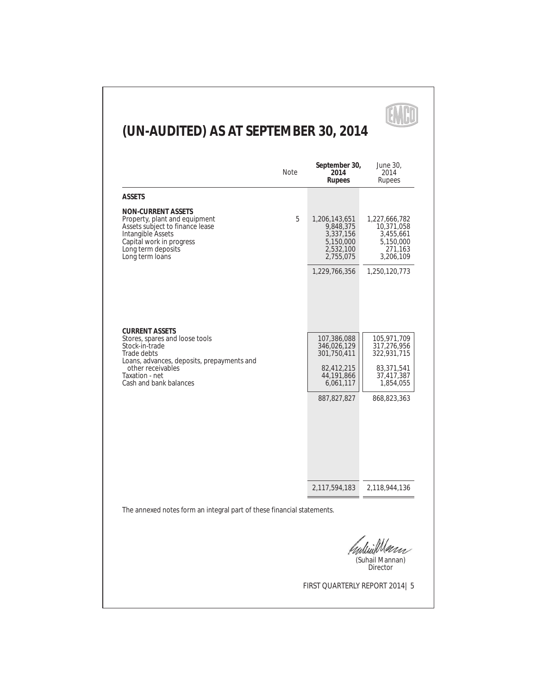#### APT **(UN-AUDITED) AS AT SEPTEMBER 30, 2014 September 30,** June 30, Note **2014** 2014 **Rupees** Rupees **ASSETS NON-CURRENT ASSETS** Property, plant and equipment<br>
Assets subject to finance lease<br>  $9,848,375$   $1,227,666,782$ <br>  $10,371,058$ Assets subject to finance lease 9,848,375 10,371,058<br>Intangible Assets 3,337,156 3,455,661 Intangible Assets 3,337,156) 3,455,661) Long term deposits<br>
Long term deposits<br>
Long term deposits<br>
Long term loans<br>
2,755,075<br>
3,206,109<br>
271,163<br>
2,755,075<br>
3,206,109  $\frac{1}{5,150,000}$   $\frac{5,150,000}{5,150,000}$   $\frac{5,150,000}{5,150,000}$  $\text{Long term deposits}$  2,532,100 271,163 1,229,766,356) 1,250,120,773) **CURRENT ASSETS** Stores, spares and loose tools<br>
Stock-in-trade  $\left| \begin{array}{cc} 107,386,088 \\ 346,026,129 \end{array} \right| \left| \begin{array}{cc} 105,971,709 \\ 317,276,956 \end{array} \right|$ Stock-in-trade 346,026,129 317,276,956<br>Trade debts 301,750,411 322,931,715 301,750,411 Loans, advances, deposits, prepayments and other receivables<br>
axation - net axation - net 44,191,866 37,417,387<br>
ash and bank balances<br>
ash and bank balances<br>
ash and bank balances<br>  $\begin{array}{|c|c|c|c|c|}\n\hline\n82,412,215 & 83,371,541 \\
44,191,866 & 37,417,387 \\
\hline\n6,061,117 &$ Taxation - net 44,191,866) 37,417,387) Cash and bank balances  $\begin{array}{|c|c|c|c|c|c|c|c|} \hline \end{array}$  6,061,117 | 1,854,055 | 887,827,827) 868,823,363) 2,117,594,183) 2,118,944,136) The annexed notes form an integral part of these financial statements. *Anderil Marn* (Suhail Mannan) **Director** FIRST QUARTERLY REPORT 2014| 5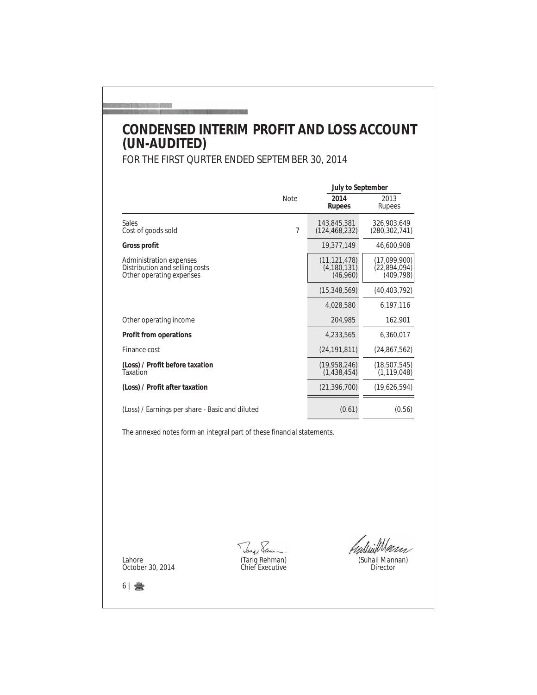## **CONDENSED INTERIM PROFIT AND LOSS ACCOUNT (UN-AUDITED)**

FOR THE FIRST QURTER ENDED SEPTEMBER 30, 2014

|                                                                                              |             | <b>July to September</b>                    |                                            |  |  |  |
|----------------------------------------------------------------------------------------------|-------------|---------------------------------------------|--------------------------------------------|--|--|--|
|                                                                                              | <b>Note</b> | 2014<br><b>Rupees</b>                       | 2013<br><b>Rupees</b>                      |  |  |  |
| <b>Sales</b><br>Cost of goods sold                                                           | $\tau$      | 143,845,381<br>(124, 468, 232)              | 326,903,649<br>(280, 302, 741)             |  |  |  |
| Gross profit                                                                                 |             | 19,377,149                                  | 46,600,908                                 |  |  |  |
| <b>Administration expenses</b><br>Distribution and selling costs<br>Other operating expenses |             | (11, 121, 478)<br>(4, 180, 131)<br>(46,960) | (17,099,900)<br>(22,894,094)<br>(409, 798) |  |  |  |
|                                                                                              |             | (15, 348, 569)                              | (40, 403, 792)                             |  |  |  |
|                                                                                              |             | 4,028,580                                   | 6,197,116                                  |  |  |  |
| Other operating income                                                                       |             | 204,985                                     | 162,901                                    |  |  |  |
| Profit from operations                                                                       |             | 4,233,565                                   | 6,360,017                                  |  |  |  |
| Finance cost                                                                                 |             | (24, 191, 811)                              | (24, 867, 562)                             |  |  |  |
| (Loss) / Profit before taxation<br><b>Taxation</b>                                           |             | (19,958,246)<br>(1,438,454)                 | (18, 507, 545)<br>(1, 119, 048)            |  |  |  |
| (Loss) / Profit after taxation                                                               |             | (21, 396, 700)                              | (19,626,594)                               |  |  |  |
| (Loss) / Earnings per share - Basic and diluted                                              |             | (0.61)                                      | (0.56)                                     |  |  |  |
| The annexed notes form an integral part of these financial statements.                       |             |                                             |                                            |  |  |  |
|                                                                                              |             |                                             |                                            |  |  |  |
|                                                                                              |             |                                             |                                            |  |  |  |
|                                                                                              |             |                                             |                                            |  |  |  |
|                                                                                              |             |                                             |                                            |  |  |  |
|                                                                                              |             |                                             |                                            |  |  |  |
|                                                                                              |             |                                             |                                            |  |  |  |
|                                                                                              |             |                                             | $\sqrt{11}$                                |  |  |  |

Lahore October 30, 2014

**DESTROY** 

Tang Sam. (Tariq Rehman) Chief Executive

*Endin Marin* 

(Suhail Mannan) Director

 $6$  |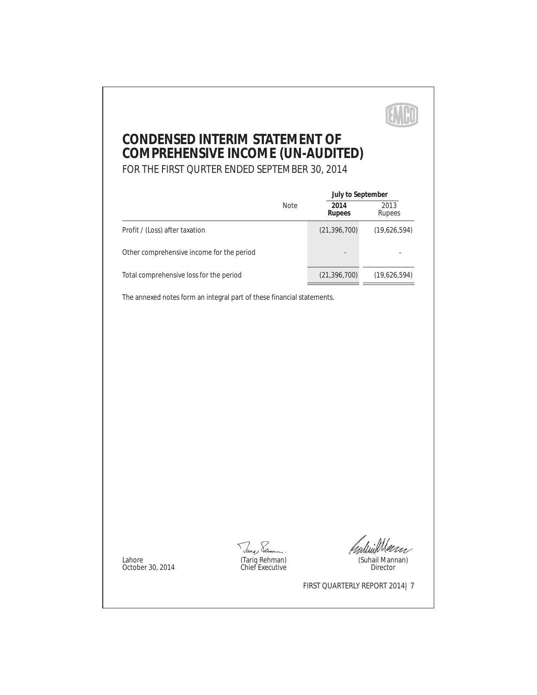**KND** 

#### **CONDENSED INTERIM STATEMENT OF COMPREHENSIVE INCOME (UN-AUDITED)** FOR THE FIRST QURTER ENDED SEPTEMBER 30, 2014

|                                           |                                                                        |                                 | July to September |  |  |  |  |
|-------------------------------------------|------------------------------------------------------------------------|---------------------------------|-------------------|--|--|--|--|
|                                           | Note                                                                   | 2014<br>Rupees                  | 2013<br>Rupees    |  |  |  |  |
| Profit / (Loss) after taxation            |                                                                        | (21, 396, 700)                  | (19, 626, 594)    |  |  |  |  |
| Other comprehensive income for the period |                                                                        |                                 |                   |  |  |  |  |
| Total comprehensive loss for the period   |                                                                        | (21, 396, 700)                  | (19, 626, 594)    |  |  |  |  |
|                                           | The annexed notes form an integral part of these financial statements. |                                 |                   |  |  |  |  |
|                                           |                                                                        |                                 |                   |  |  |  |  |
|                                           |                                                                        |                                 |                   |  |  |  |  |
|                                           |                                                                        |                                 |                   |  |  |  |  |
|                                           |                                                                        |                                 |                   |  |  |  |  |
|                                           |                                                                        |                                 |                   |  |  |  |  |
|                                           |                                                                        |                                 |                   |  |  |  |  |
|                                           |                                                                        |                                 |                   |  |  |  |  |
|                                           |                                                                        |                                 |                   |  |  |  |  |
|                                           |                                                                        |                                 |                   |  |  |  |  |
|                                           |                                                                        |                                 |                   |  |  |  |  |
|                                           |                                                                        |                                 |                   |  |  |  |  |
|                                           |                                                                        |                                 |                   |  |  |  |  |
|                                           |                                                                        |                                 |                   |  |  |  |  |
|                                           |                                                                        |                                 |                   |  |  |  |  |
| Lahore                                    | Tang Sam.                                                              |                                 | (Suhail Mannan)   |  |  |  |  |
| October 30, 2014                          | (Tariq Rehman)<br>Chief Executive                                      |                                 | Director          |  |  |  |  |
|                                           |                                                                        | FIRST QUARTERLY REPORT 2014   7 |                   |  |  |  |  |
|                                           |                                                                        |                                 |                   |  |  |  |  |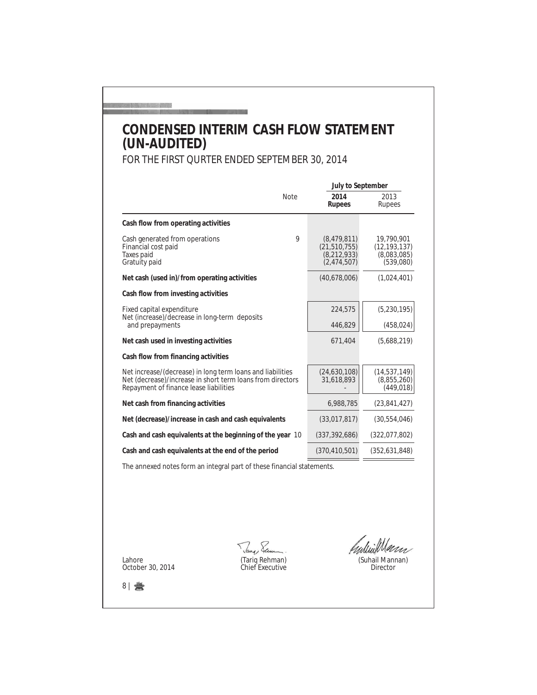### **CONDENSED INTERIM CASH FLOW STATEMENT (UN-AUDITED)**

FOR THE FIRST QURTER ENDED SEPTEMBER 30, 2014

|                                                                                                                                                                    |             | <b>July to September</b>                                      |                                                          |
|--------------------------------------------------------------------------------------------------------------------------------------------------------------------|-------------|---------------------------------------------------------------|----------------------------------------------------------|
|                                                                                                                                                                    | <b>Note</b> | 2014<br>Rupees                                                | 2013<br>Rupees                                           |
| Cash flow from operating activities                                                                                                                                |             |                                                               |                                                          |
| Cash generated from operations<br>Financial cost paid<br>Taxes paid<br>Gratuity paid                                                                               | 9           | (8,479,811)<br>(21, 510, 755)<br>(8, 212, 933)<br>(2,474,507) | 19.790.901<br>(12, 193, 137)<br>(8,083,085)<br>(539,080) |
| Net cash (used in)/from operating activities                                                                                                                       |             | (40,678,006)                                                  | (1,024,401)                                              |
| Cash flow from investing activities                                                                                                                                |             |                                                               |                                                          |
| Fixed capital expenditure<br>Net (increase)/decrease in long-term deposits                                                                                         |             | 224,575                                                       | (5,230,195)                                              |
| and prepayments                                                                                                                                                    |             | 446,829                                                       | (458, 024)                                               |
| Net cash used in investing activities                                                                                                                              |             | 671,404                                                       | (5,688,219)                                              |
| Cash flow from financing activities                                                                                                                                |             |                                                               |                                                          |
| Net increase/(decrease) in long term loans and liabilities<br>Net (decrease)/increase in short term loans from directors<br>Repayment of finance lease liabilities |             | (24,630,108)<br>31,618,893                                    | (14, 537, 149)<br>(8,855,260)<br>(449, 018)              |
| Net cash from financing activities                                                                                                                                 |             | 6,988,785                                                     | (23, 841, 427)                                           |
| Net (decrease)/increase in cash and cash equivalents                                                                                                               |             | (33,017,817)                                                  | (30, 554, 046)                                           |
| Cash and cash equivalents at the beginning of the year 10                                                                                                          |             | (337, 392, 686)                                               | (322,077,802)                                            |
| Cash and cash equivalents at the end of the period                                                                                                                 |             | (370, 410, 501)                                               | (352, 631, 848)                                          |

The annexed notes form an integral part of these financial statements.

Lahore October 30, 2014

Tang Sam (Tariq Rehman) Chief Executive

*Antwillen* 

(Suhail Mannan) Director

 $8 \equiv$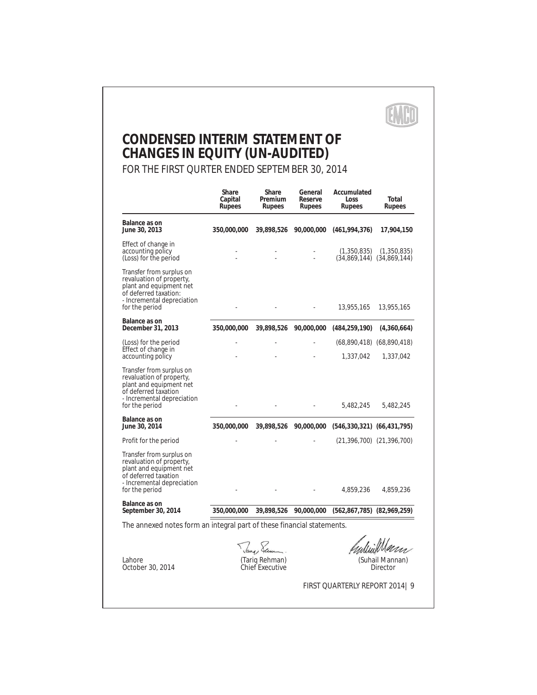ENHO

#### **CONDENSED INTERIM STATEMENT OF CHANGES IN EQUITY (UN-AUDITED)** FOR THE FIRST QURTER ENDED SEPTEMBER 30, 2014

|                                                                                                                                                          | Share<br>Capital<br>Rupees | Share<br>Premium<br>Rupees                             | General<br>Reserve<br>Rupees | Accumulated<br>Loss<br>Rupees                    | Total<br>Rupees                              |
|----------------------------------------------------------------------------------------------------------------------------------------------------------|----------------------------|--------------------------------------------------------|------------------------------|--------------------------------------------------|----------------------------------------------|
| Balance as on<br>June 30, 2013                                                                                                                           | 350,000,000                |                                                        |                              | 39,898,526 90,000,000 (461,994,376)              | 17,904,150                                   |
| Effect of change in<br>accounting policy<br>(Loss) for the period                                                                                        |                            |                                                        |                              | (1,350,835)                                      | (1,350,835)<br>$(34,869,144)$ $(34,869,144)$ |
| Transfer from surplus on<br>revaluation of property,<br>plant and equipment net<br>of deferred taxation:<br>- Incremental depreciation<br>for the period |                            |                                                        |                              | 13,955,165                                       | 13,955,165                                   |
| Balance as on<br>December 31, 2013                                                                                                                       | 350,000,000                |                                                        |                              | 39,898,526 90,000,000 (484,259,190)              | (4,360,664)                                  |
| (Loss) for the period                                                                                                                                    |                            |                                                        |                              |                                                  | $(68,890,418)$ $(68,890,418)$                |
| Effect of change in<br>accounting policy                                                                                                                 |                            |                                                        |                              | 1,337,042                                        | 1,337,042                                    |
| Transfer from surplus on<br>revaluation of property,<br>plant and equipment net<br>of deferred taxation<br>- Incremental depreciation<br>for the period  |                            |                                                        |                              | 5,482,245                                        | 5,482,245                                    |
| Balance as on<br>June 30, 2014                                                                                                                           | 350,000,000                |                                                        |                              | 39,898,526 90,000,000 (546,330,321) (66,431,795) |                                              |
| Profit for the period                                                                                                                                    |                            |                                                        |                              | $(21,396,700)$ $(21,396,700)$                    |                                              |
| Transfer from surplus on<br>revaluation of property,<br>plant and equipment net<br>of deferred taxation<br>- Incremental depreciation<br>for the period  |                            |                                                        |                              | 4,859,236                                        | 4,859,236                                    |
| Balance as on<br>September 30, 2014                                                                                                                      | 350,000,000                |                                                        | 39,898,526 90,000,000        | $(562,867,785)$ $(82,969,259)$                   |                                              |
| The annexed notes form an integral part of these financial statements.                                                                                   |                            |                                                        |                              |                                                  |                                              |
| Lahore<br>October 30, 2014                                                                                                                               |                            | Jang, Sam.<br>(Tariq Rehman)<br><b>Chief Executive</b> |                              |                                                  | (Suhail Mannan)<br><b>Director</b>           |
|                                                                                                                                                          |                            |                                                        |                              | FIRST QUARTERLY REPORT 2014   9                  |                                              |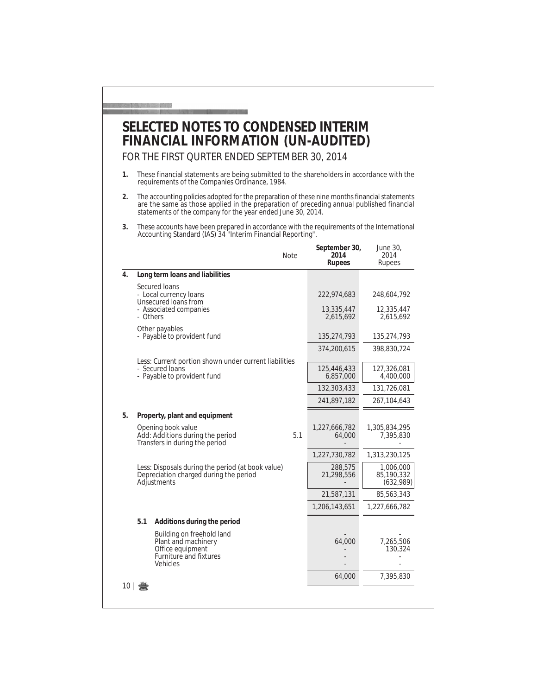#### **SELECTED NOTES TO CONDENSED INTERIM FINANCIAL INFORMATION (UN-AUDITED)** FOR THE FIRST QURTER ENDED SEPTEMBER 30, 2014

nes ma **Contract Contract Contract** 

- **1.**  These financial statements are being submitted to the shareholders in accordance with the requirements of the Companies Ordinance, 1984.
- **2.**  The accounting policies adopted for the preparation of these nine months financial statements are the same as those applied in the preparation of preceding annual published financial statements of the company for the year ended June 30, 2014.
- **3.**  These accounts have been prepared in accordance with the requirements of the International Accounting Standard (IAS) 34 "Interim Financial Reporting".

| 222,974,683<br>13,335,447 | 248,604,792<br>12,335,447             |  |  |  |  |  |
|---------------------------|---------------------------------------|--|--|--|--|--|
| 2,615,692                 | 2,615,692                             |  |  |  |  |  |
| 135,274,793               |                                       |  |  |  |  |  |
| 374,200,615               | 398,830,724                           |  |  |  |  |  |
| 125,446,433<br>6,857,000  | 127,326,081<br>4,400,000              |  |  |  |  |  |
| 132,303,433               | 131,726,081                           |  |  |  |  |  |
| 241,897,182               | 267, 104, 643                         |  |  |  |  |  |
|                           |                                       |  |  |  |  |  |
| 1,227,666,782<br>64,000   | 1,305,834,295<br>7,395,830            |  |  |  |  |  |
| 1,227,730,782             | 1,313,230,125                         |  |  |  |  |  |
| 288,575<br>21,298,556     | 1,006,000<br>85,190,332<br>(632, 989) |  |  |  |  |  |
| 21,587,131                | 85,563,343                            |  |  |  |  |  |
| 1,206,143,651             | 1,227,666,782                         |  |  |  |  |  |
|                           |                                       |  |  |  |  |  |
| 64,000                    | 7,265,506<br>130,324                  |  |  |  |  |  |
| 64,000                    | 7,395,830                             |  |  |  |  |  |
|                           |                                       |  |  |  |  |  |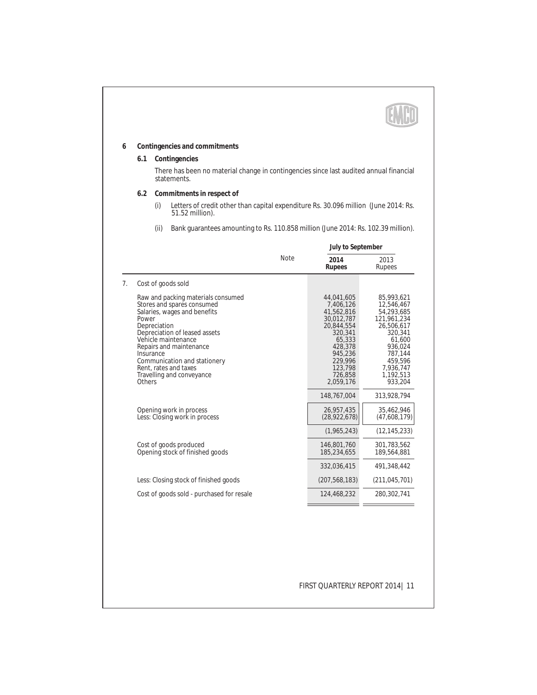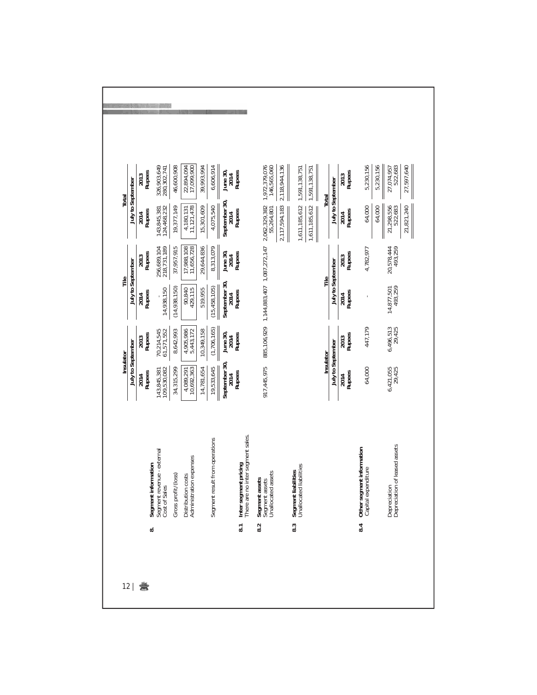|           |                   | Rupees<br>2013      | 326,903,649<br>280,302,741                  | 46,600,908          | 22,894,094<br>17,099,900                               | 39,993,994 | 6,606,914                      | June 30,<br>Rupees<br>2014                                 | 1,972,379,076<br>146,565,060                           | 2,118,944,136 | 1,591,138,751                                  | 1,591,138,751 |           |                   | 2013<br>Rupees | 5,230,156                                        | 5,230,156 | 522,683<br>27,074,957                         | 27,597,640 |
|-----------|-------------------|---------------------|---------------------------------------------|---------------------|--------------------------------------------------------|------------|--------------------------------|------------------------------------------------------------|--------------------------------------------------------|---------------|------------------------------------------------|---------------|-----------|-------------------|----------------|--------------------------------------------------|-----------|-----------------------------------------------|------------|
| Total     | July to September | Rupees<br>2014      | 143,845,381<br>124,468,232                  | 19,377,149          | $\begin{array}{c} 4,180,131 \\ 11,121,478 \end{array}$ | 15,301,609 | 4,075,540                      | September 30,<br>Rupees<br>2014                            | 2,062,329,382<br>55,264,801                            | 2,117,594,183 | 1,611,185,612                                  | 1,611,185,612 | Total     | July to September | Rupees<br>2014 | 64,000                                           | 64,000    | 21,298,556<br>522,683                         | 21,821,240 |
|           |                   | Rupees<br>2013      | 256,689,104<br>218,731,189                  | 37,957,915          | 17,988,108<br>11,656,728                               | 29,644,836 | 8,313,079                      | June 30, $2014$<br>Rupees                                  |                                                        |               |                                                |               |           |                   | Rupees<br>2013 | 4,782,977                                        |           | 20,578,444<br>493,259                         |            |
| Tile      | July to September | Rupees<br>2014      | 14,938,150                                  | (14, 938, 150)      | 90,840<br>429,115                                      | 519,955    | (15, 458, 105)                 | September 30,<br>Rupees<br>2014                            | 885,106,929 1,144,883,407 1,087,272,147                |               |                                                |               | Tile      | July to September | Rupees<br>2014 |                                                  |           | 14,877,501<br>493,259                         |            |
|           |                   | Rupees<br>2013      | 70, 214, 545<br>61, 571, 552                | 8,642,993           | 4,905,986<br>5,443,172                                 | 10,349,158 | (1,706,165)                    | June 30, $2014$<br>Rupees                                  |                                                        |               |                                                |               |           |                   | Rupees<br>2013 | 447,179                                          |           | $6,496,513$<br>$29,425$                       |            |
| Insulator | July to September | Rupees<br>2014      | 143,845,381<br>109,530,082                  | 34, 315, 299        | $\begin{array}{c} 4,089,291 \\ 10,692,363 \end{array}$ | 14,781,654 | 19,533,645                     | September 30,<br>Rupees<br>2014                            | 917,445,975                                            |               |                                                |               | Insulator | July to September | Rupees<br>2014 | 64,000                                           |           | $6,421,055$<br>$29,425$                       |            |
|           |                   | Segment information | Segment revenue - external<br>Cost of Sales | Gross profit/(loss) | Administration expenses<br>Distribution costs          |            | Segment result from operations | There are no inter segment sales.<br>Inter segment pricing | Segment assets<br>Unallocated assets<br>Segment assets |               | Unallocated liabilities<br>Segment liabilities |               |           |                   |                | Other segment information<br>Capital expenditure |           | Depreciation of leased assets<br>Depreciation |            |
|           |                   | $\infty$            |                                             |                     |                                                        |            |                                | 8.1                                                        | 8.2                                                    |               | 8.3                                            |               |           |                   |                | 8.4                                              |           |                                               |            |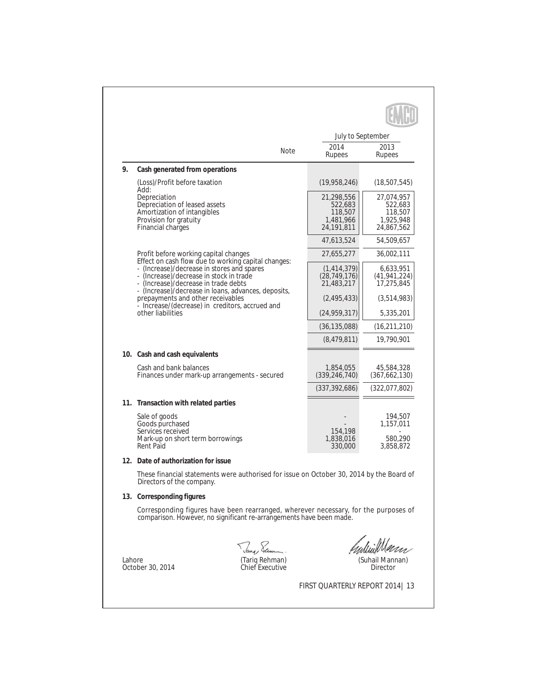|        |                                                                                                                                                                                                                               |                                                           | <b>July to September</b>                                    |                                                             |
|--------|-------------------------------------------------------------------------------------------------------------------------------------------------------------------------------------------------------------------------------|-----------------------------------------------------------|-------------------------------------------------------------|-------------------------------------------------------------|
|        |                                                                                                                                                                                                                               | Note                                                      | 2014<br><b>Rupees</b>                                       | 2013<br><b>Rupees</b>                                       |
| 9.     | Cash generated from operations                                                                                                                                                                                                |                                                           |                                                             |                                                             |
|        | (Loss)/Profit before taxation                                                                                                                                                                                                 |                                                           | (19.958.246)                                                | (18, 507, 545)                                              |
|        | Add:<br>Depreciation<br>Depreciation of leased assets<br>Amortization of intangibles<br>Provision for gratuity<br><b>Financial charges</b>                                                                                    |                                                           | 21,298,556<br>522,683<br>118,507<br>1,481,966<br>24,191,811 | 27,074,957<br>522,683<br>118,507<br>1,925,948<br>24,867,562 |
|        |                                                                                                                                                                                                                               | 47,613,524                                                | 54,509,657                                                  |                                                             |
|        | Profit before working capital changes<br>Effect on cash flow due to working capital changes:<br>- (Increase)/decrease in stores and spares<br>- (Increase)/decrease in stock in trade<br>- (Increase)/decrease in trade debts | 27,655,277<br>(1,414,379)<br>(28, 749, 176)<br>21,483,217 | 36,002,111<br>6,633,951<br>(41, 941, 224)<br>17,275,845     |                                                             |
|        | - (Increase)/decrease in loans, advances, deposits,<br>prepayments and other receivables<br>- Increase/(decrease) in creditors, accrued and                                                                                   |                                                           | (2, 495, 433)                                               | (3,514,983)                                                 |
|        | other liabilities                                                                                                                                                                                                             |                                                           | (24, 959, 317)                                              | 5,335,201                                                   |
|        |                                                                                                                                                                                                                               |                                                           | (36, 135, 088)                                              | (16, 211, 210)                                              |
|        |                                                                                                                                                                                                                               |                                                           | (8,479,811)                                                 | 19,790,901                                                  |
|        | 10. Cash and cash equivalents                                                                                                                                                                                                 |                                                           |                                                             |                                                             |
|        | Cash and bank balances<br>Finances under mark-up arrangements - secured                                                                                                                                                       |                                                           | 1,854,055<br>(339, 246, 740)                                | 45,584,328<br>(367,662,130)                                 |
|        |                                                                                                                                                                                                                               |                                                           | (337, 392, 686)                                             | (322,077,802)                                               |
|        | 11. Transaction with related parties                                                                                                                                                                                          |                                                           |                                                             |                                                             |
|        | Sale of goods<br>Goods purchased<br>Services received<br>Mark-up on short term borrowings<br><b>Rent Paid</b>                                                                                                                 |                                                           | 154,198<br>1,838,016<br>330,000                             | 194,507<br>1,157,011<br>580,290<br>3,858,872                |
|        | 12. Date of authorization for issue                                                                                                                                                                                           |                                                           |                                                             |                                                             |
|        | These financial statements were authorised for issue on October 30, 2014 by the Board of<br>Directors of the company.                                                                                                         |                                                           |                                                             |                                                             |
|        | 13. Corresponding figures                                                                                                                                                                                                     |                                                           |                                                             |                                                             |
|        | Corresponding figures have been rearranged, wherever necessary, for the purposes of<br>comparison. However, no significant re-arrangements have been made.                                                                    |                                                           |                                                             |                                                             |
| Lahore | October 30, 2014                                                                                                                                                                                                              | Tang Sam.<br>(Tariq Rehman)<br><b>Chief Executive</b>     |                                                             | William<br>(Suhail Mannan)<br>Director                      |
|        |                                                                                                                                                                                                                               |                                                           |                                                             |                                                             |